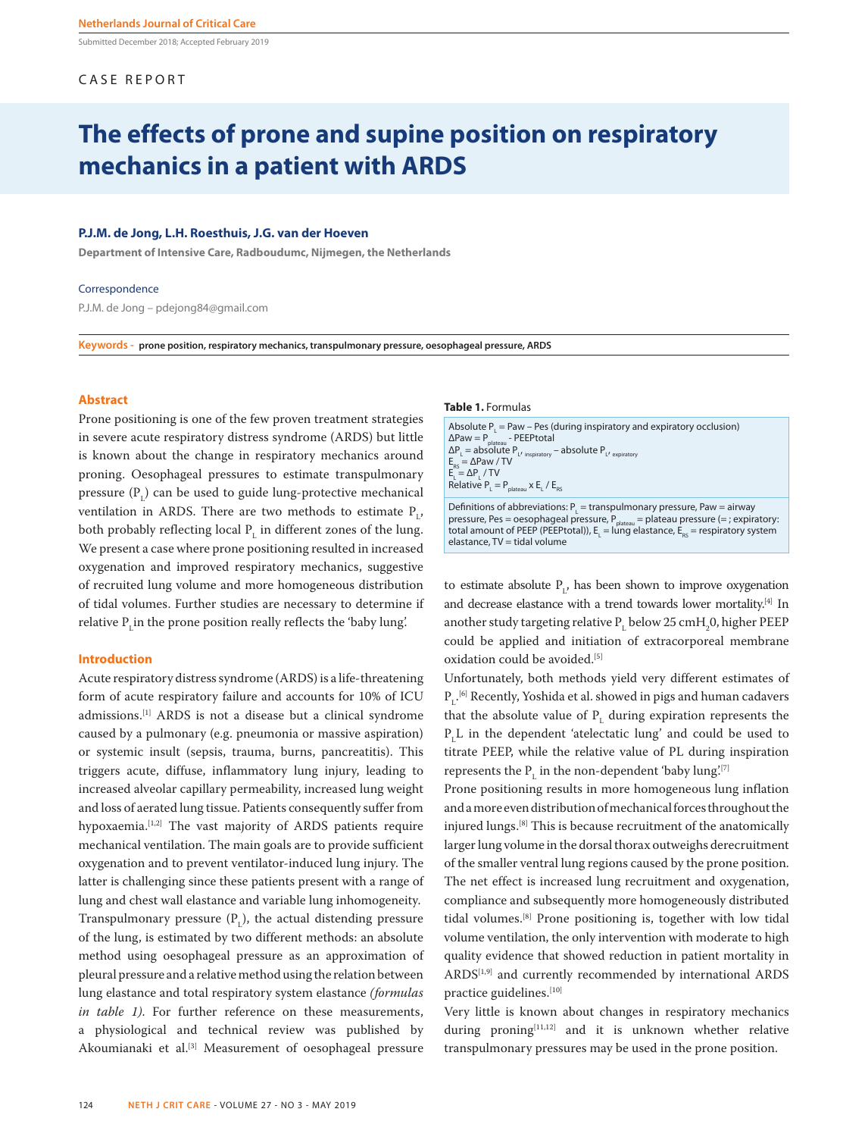Submitted December 2018; Accepted February 2019

# CASE REPORT

# **The effects of prone and supine position on respiratory mechanics in a patient with ARDS**

# **P.J.M. de Jong, L.H. Roesthuis, J.G. van der Hoeven**

**Department of Intensive Care, Radboudumc, Nijmegen, the Netherlands**

#### Correspondence

P.J.M. de Jong – pdejong84@gmail.com

**Keywords - prone position, respiratory mechanics, transpulmonary pressure, oesophageal pressure, ARDS**

## **Abstract**

Prone positioning is one of the few proven treatment strategies in severe acute respiratory distress syndrome (ARDS) but little is known about the change in respiratory mechanics around proning. Oesophageal pressures to estimate transpulmonary pressure  $(P<sub>L</sub>)$  can be used to guide lung-protective mechanical ventilation in ARDS. There are two methods to estimate  $P_{L'}$ both probably reflecting local  $P<sub>L</sub>$  in different zones of the lung. We present a case where prone positioning resulted in increased oxygenation and improved respiratory mechanics, suggestive of recruited lung volume and more homogeneous distribution of tidal volumes. Further studies are necessary to determine if relative  $P$ <sub>L</sub>in the prone position really reflects the 'baby lung'.

### **Introduction**

Acute respiratory distress syndrome (ARDS) is a life-threatening form of acute respiratory failure and accounts for 10% of ICU admissions.[1] ARDS is not a disease but a clinical syndrome caused by a pulmonary (e.g. pneumonia or massive aspiration) or systemic insult (sepsis, trauma, burns, pancreatitis). This triggers acute, diffuse, inflammatory lung injury, leading to increased alveolar capillary permeability, increased lung weight and loss of aerated lung tissue. Patients consequently suffer from hypoxaemia.[1,2] The vast majority of ARDS patients require mechanical ventilation. The main goals are to provide sufficient oxygenation and to prevent ventilator-induced lung injury. The latter is challenging since these patients present with a range of lung and chest wall elastance and variable lung inhomogeneity. Transpulmonary pressure  $(P<sub>L</sub>)$ , the actual distending pressure of the lung, is estimated by two different methods: an absolute method using oesophageal pressure as an approximation of pleural pressure and a relative method using the relation between lung elastance and total respiratory system elastance *(formulas in table 1)*. For further reference on these measurements, a physiological and technical review was published by Akoumianaki et al.<sup>[3]</sup> Measurement of oesophageal pressure

#### **Table 1.** Formulas

Absolute  $P_{L}$  = Paw – Pes (during inspiratory and expiratory occlusion)  $\Delta$ Paw = P<sub>plateau</sub> - PEEPtotal  $\Delta P_{L} =$  absolute  $P_{L'}$  inspiratory – absolute  $P_{L'}$  expiratory  $E_{RS} = \Delta P$ aw / TV  $E_{L} = \Delta P_{L} / TV$ Relative  $P_{L} = P_{plateau} \times E_{L} / E_{RS}$ Definitions of abbreviations:  $P<sub>L</sub>$  = transpulmonary pressure, Paw = airway

pressure, Pes = oesophageal pressure,  $P_{\text{plateau}}$  = plateau pressure (= ; expiratory: total amount of PEEP (PEEPtotal)),  $E<sub>L</sub>$  = lung elastance,  $E<sub>RS</sub>$  = respiratory system elastance, TV = tidal volume

to estimate absolute  $P_{L}$ , has been shown to improve oxygenation and decrease elastance with a trend towards lower mortality.<sup>[4]</sup> In another study targeting relative  $P<sub>L</sub>$  below 25 cmH<sub>2</sub>0, higher PEEP could be applied and initiation of extracorporeal membrane oxidation could be avoided.<sup>[5]</sup>

Unfortunately, both methods yield very different estimates of  $P_{L}$ <sup>[6]</sup> Recently, Yoshida et al. showed in pigs and human cadavers that the absolute value of  $P<sub>L</sub>$  during expiration represents the  $P<sub>L</sub>L$  in the dependent 'atelectatic lung' and could be used to titrate PEEP, while the relative value of PL during inspiration represents the  $P<sub>L</sub>$  in the non-dependent 'baby lung'.<sup>[7]</sup>

Prone positioning results in more homogeneous lung inflation and a more even distribution of mechanical forces throughout the injured lungs.[8] This is because recruitment of the anatomically larger lung volume in the dorsal thorax outweighs derecruitment of the smaller ventral lung regions caused by the prone position. The net effect is increased lung recruitment and oxygenation, compliance and subsequently more homogeneously distributed tidal volumes.[8] Prone positioning is, together with low tidal volume ventilation, the only intervention with moderate to high quality evidence that showed reduction in patient mortality in ARDS[1,9] and currently recommended by international ARDS practice guidelines.[10]

Very little is known about changes in respiratory mechanics during proning[11,12] and it is unknown whether relative transpulmonary pressures may be used in the prone position.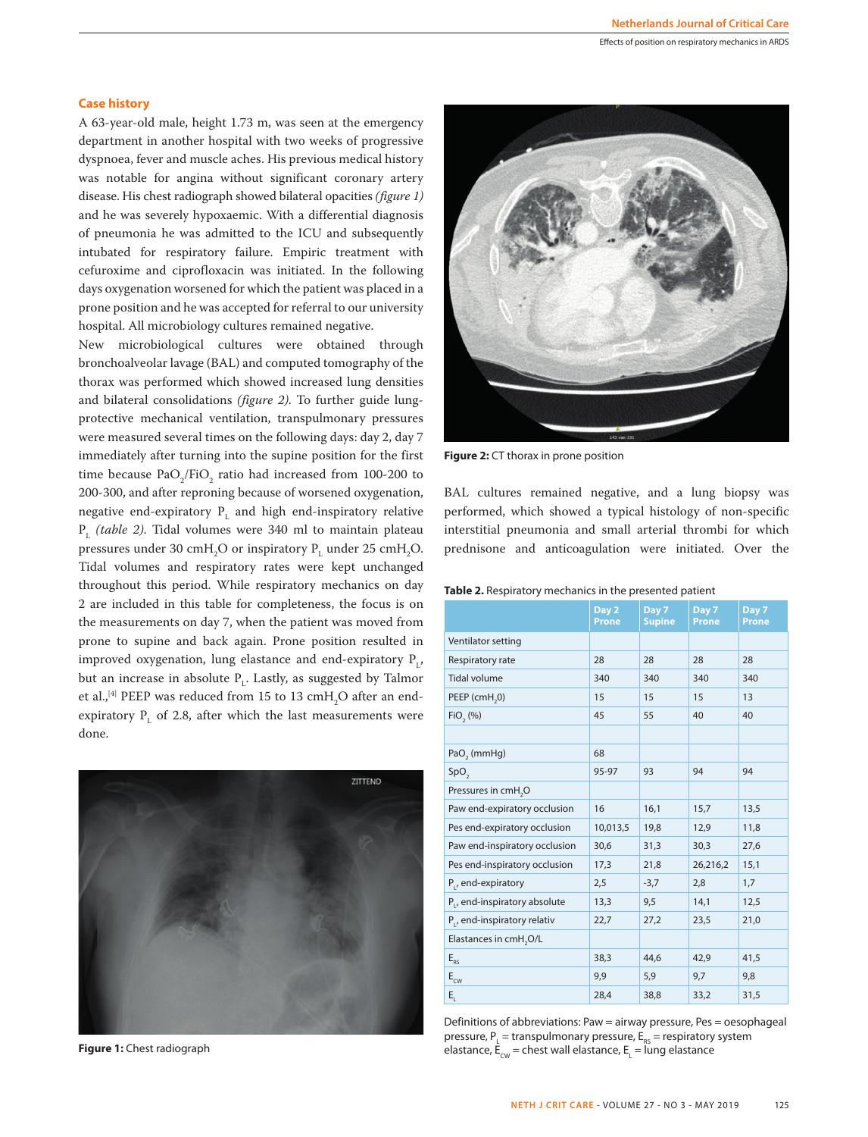#### Effects of position on respiratory mechanics in ARDS

## **Case history**

A 63-year-old male, height 1.73 m, was seen at the emergency department in another hospital with two weeks of progressive dyspnoea, fever and muscle aches. His previous medical history was notable for angina without significant coronary artery disease. His chest radiograph showed bilateral opacities *(figure 1)* and he was severely hypoxaemic. With a differential diagnosis of pneumonia he was admitted to the ICU and subsequently intubated for respiratory failure. Empiric treatment with cefuroxime and ciprofloxacin was initiated. In the following days oxygenation worsened for which the patient was placed in a prone position and he was accepted for referral to our university hospital. All microbiology cultures remained negative.

New microbiological cultures were obtained through bronchoalveolar lavage (BAL) and computed tomography of the thorax was performed which showed increased lung densities and bilateral consolidations *(figure 2)*. To further guide lungprotective mechanical ventilation, transpulmonary pressures were measured several times on the following days: day 2, day 7 immediately after turning into the supine position for the first time because  $PaO<sub>2</sub>/FiO<sub>2</sub>$  ratio had increased from 100-200 to 200-300, and after reproning because of worsened oxygenation, negative end-expiratory  $P<sub>L</sub>$  and high end-inspiratory relative PL *(table 2)*. Tidal volumes were 340 ml to maintain plateau pressures under 30 cmH<sub>2</sub>O or inspiratory  $P<sub>L</sub>$  under 25 cmH<sub>2</sub>O. Tidal volumes and respiratory rates were kept unchanged throughout this period. While respiratory mechanics on day 2 are included in this table for completeness, the focus is on the measurements on day 7, when the patient was moved from prone to supine and back again. Prone position resulted in improved oxygenation, lung elastance and end-expiratory  $P_{L'}$ but an increase in absolute  $P_{L}$ . Lastly, as suggested by Talmor et al., $^{[4]}$  PEEP was reduced from 15 to 13 cm $\rm H_2O$  after an endexpiratory  $P_{L}$  of 2.8, after which the last measurements were done.



**Figure 1:** Chest radiograph



**Figure 2:** CT thorax in prone position

BAL cultures remained negative, and a lung biopsy was performed, which showed a typical histology of non-specific interstitial pneumonia and small arterial thrombi for which prednisone and anticoagulation were initiated. Over the

| <b>Table 2.</b> Respiratory mechanics in the presented patient |  |  |  |
|----------------------------------------------------------------|--|--|--|
|----------------------------------------------------------------|--|--|--|

|                                    | Day 2<br><b>Prone</b> | Day 7<br><b>Supine</b> | Day 7<br>Prone | Day 7<br>Prone |
|------------------------------------|-----------------------|------------------------|----------------|----------------|
| Ventilator setting                 |                       |                        |                |                |
| Respiratory rate                   | 28                    | 28                     | 28             | 28             |
| <b>Tidal volume</b>                | 340                   | 340                    | 340            | 340            |
| PEEP (cmH <sub>2</sub> 0)          | 15                    | 15                     | 15             | 13             |
| FiO, (%)                           | 45                    | 55                     | 40             | 40             |
|                                    |                       |                        |                |                |
| PaO <sub>2</sub> (mmHg)            | 68                    |                        |                |                |
| SpO <sub>2</sub>                   | 95-97                 | 93                     | 94             | 94             |
| Pressures in cmH <sub>2</sub> O    |                       |                        |                |                |
| Paw end-expiratory occlusion       | 16                    | 16,1                   | 15,7           | 13,5           |
| Pes end-expiratory occlusion       | 10,013,5              | 19,8                   | 12,9           | 11,8           |
| Paw end-inspiratory occlusion      | 30,6                  | 31,3                   | 30,3           | 27,6           |
| Pes end-inspiratory occlusion      | 17,3                  | 21,8                   | 26,216,2       | 15,1           |
| P <sub>1</sub> , end-expiratory    | 2,5                   | $-3,7$                 | 2,8            | 1,7            |
| P., end-inspiratory absolute       | 13,3                  | 9,5                    | 14,1           | 12,5           |
| P., end-inspiratory relativ        | 22,7                  | 27,2                   | 23,5           | 21,0           |
| Elastances in cmH <sub>2</sub> O/L |                       |                        |                |                |
| $E_{RS}$                           | 38,3                  | 44,6                   | 42,9           | 41,5           |
| $E_{\text{cw}}$                    | 9,9                   | 5,9                    | 9,7            | 9,8            |
| E,                                 | 28,4                  | 38,8                   | 33,2           | 31,5           |

Definitions of abbreviations: Paw = airway pressure, Pes = oesophageal pressure,  $P_{L}$  = transpulmonary pressure,  $E_{RS}$  = respiratory system elastance,  $E_{\text{cw}}$  = chest wall elastance,  $E_{\text{L}}$  = lung elastance